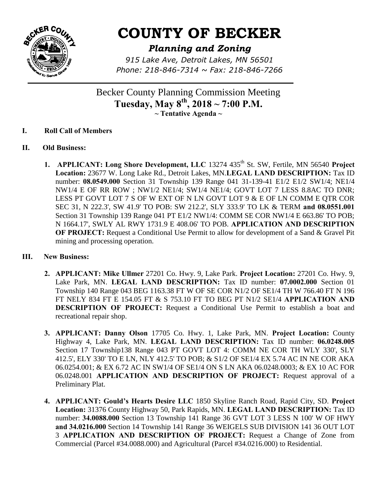

# **COUNTY OF BECKER**

## *Planning and Zoning*

*915 Lake Ave, Detroit Lakes, MN 56501 Phone: 218-846-7314 ~ Fax: 218-846-7266*

Becker County Planning Commission Meeting **Tuesday, May 8th, 2018 ~ 7:00 P.M. ~ Tentative Agenda ~** 

- **I. Roll Call of Members**
- **II. Old Business:** 
	- **1. APPLICANT: Long Shore Development, LLC** 13274 435<sup>th</sup> St. SW, Fertile, MN 56540 Project **Location:** 23677 W. Long Lake Rd., Detroit Lakes, MN.**LEGAL LAND DESCRIPTION:** Tax ID number: **08.0549.000** Section 31 Township 139 Range 041 31-139-41 E1/2 E1/2 SW1/4; NE1/4 NW1/4 E OF RR ROW ; NW1/2 NE1/4; SW1/4 NE1/4; GOVT LOT 7 LESS 8.8AC TO DNR; LESS PT GOVT LOT 7 S OF W EXT OF N LN GOVT LOT 9 & E OF LN COMM E QTR COR SEC 31, N 222.3', SW 41.9' TO POB: SW 212.2', SLY 333.9' TO LK & TERM **and 08.0551.001**  Section 31 Township 139 Range 041 PT E1/2 NW1/4: COMM SE COR NW1/4 E 663.86' TO POB; N 1664.17', SWLY AL RWY 1731.9 E 408.06' TO POB. **APPLICATION AND DESCRIPTION OF PROJECT:** Request a Conditional Use Permit to allow for development of a Sand & Gravel Pit mining and processing operation.

#### **III. New Business:**

- **2. APPLICANT: Mike Ullmer** 27201 Co. Hwy. 9, Lake Park. **Project Location:** 27201 Co. Hwy. 9, Lake Park, MN. **LEGAL LAND DESCRIPTION:** Tax ID number: **07.0002.000** Section 01 Township 140 Range 043 BEG 1163.38 FT W OF SE COR N1/2 OF SE1/4 TH W 766.40 FT N 196 FT NELY 834 FT E 154.05 FT & S 753.10 FT TO BEG PT N1/2 SE1/4 **APPLICATION AND DESCRIPTION OF PROJECT:** Request a Conditional Use Permit to establish a boat and recreational repair shop.
- **3. APPLICANT: Danny Olson** 17705 Co. Hwy. 1, Lake Park, MN. **Project Location:** County Highway 4, Lake Park, MN. **LEGAL LAND DESCRIPTION:** Tax ID number: **06.0248.005** Section 17 Township138 Range 043 PT GOVT LOT 4: COMM NE COR TH WLY 330', SLY 412.5', ELY 330' TO E LN, NLY 412.5' TO POB; & S1/2 OF SE1/4 EX 5.74 AC IN NE COR AKA 06.0254.001; & EX 6.72 AC IN SW1/4 OF SE1/4 ON S LN AKA 06.0248.0003; & EX 10 AC FOR 06.0248.001 **APPLICATION AND DESCRIPTION OF PROJECT:** Request approval of a Preliminary Plat.
- **4. APPLICANT: Gould's Hearts Desire LLC** 1850 Skyline Ranch Road, Rapid City, SD. **Project Location:** 31376 County Highway 50, Park Rapids, MN. **LEGAL LAND DESCRIPTION:** Tax ID number: **34.0088.000** Section 13 Township 141 Range 36 GVT LOT 3 LESS N 100' W OF HWY **and 34.0216.000** Section 14 Township 141 Range 36 WEIGELS SUB DIVISION 141 36 OUT LOT 3 **APPLICATION AND DESCRIPTION OF PROJECT:** Request a Change of Zone from Commercial (Parcel #34.0088.000) and Agricultural (Parcel #34.0216.000) to Residential.